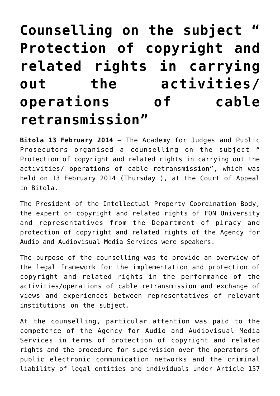## **[Counselling on the subject "](https://avmu.mk/en/2014/02/17/counselling-on-the-subject-protection-of-copyright-and-related-rights-in-carrying-out-the-activities-operations-of-cable-retransmission/) [Protection of copyright and](https://avmu.mk/en/2014/02/17/counselling-on-the-subject-protection-of-copyright-and-related-rights-in-carrying-out-the-activities-operations-of-cable-retransmission/) [related rights in carrying](https://avmu.mk/en/2014/02/17/counselling-on-the-subject-protection-of-copyright-and-related-rights-in-carrying-out-the-activities-operations-of-cable-retransmission/) [out the activities/](https://avmu.mk/en/2014/02/17/counselling-on-the-subject-protection-of-copyright-and-related-rights-in-carrying-out-the-activities-operations-of-cable-retransmission/) [operations of cable](https://avmu.mk/en/2014/02/17/counselling-on-the-subject-protection-of-copyright-and-related-rights-in-carrying-out-the-activities-operations-of-cable-retransmission/) [retransmission"](https://avmu.mk/en/2014/02/17/counselling-on-the-subject-protection-of-copyright-and-related-rights-in-carrying-out-the-activities-operations-of-cable-retransmission/)**

**Bitola 13 February 2014** – The Academy for Judges and Public Prosecutors organised a counselling on the subject Protection of copyright and related rights in carrying out the activities/ operations of cable retransmission", which was held on 13 February 2014 (Thursday ), at the Court of Appeal in Bitola.

The President of the Intellectual Property Coordination Body, the expert on copyright and related rights of FON University and representatives from the Department of piracy and protection of copyright and related rights of the Agency for Audio and Audiovisual Media Services were speakers.

The purpose of the counselling was to provide an overview of the legal framework for the implementation and protection of copyright and related rights in the performance of the activities/operations of cable retransmission and exchange of views and experiences between representatives of relevant institutions on the subject.

At the counselling, particular attention was paid to the competence of the Agency for Audio and Audiovisual Media Services in terms of protection of copyright and related rights and the procedure for supervision over the operators of public electronic communication networks and the criminal liability of legal entities and individuals under Article 157